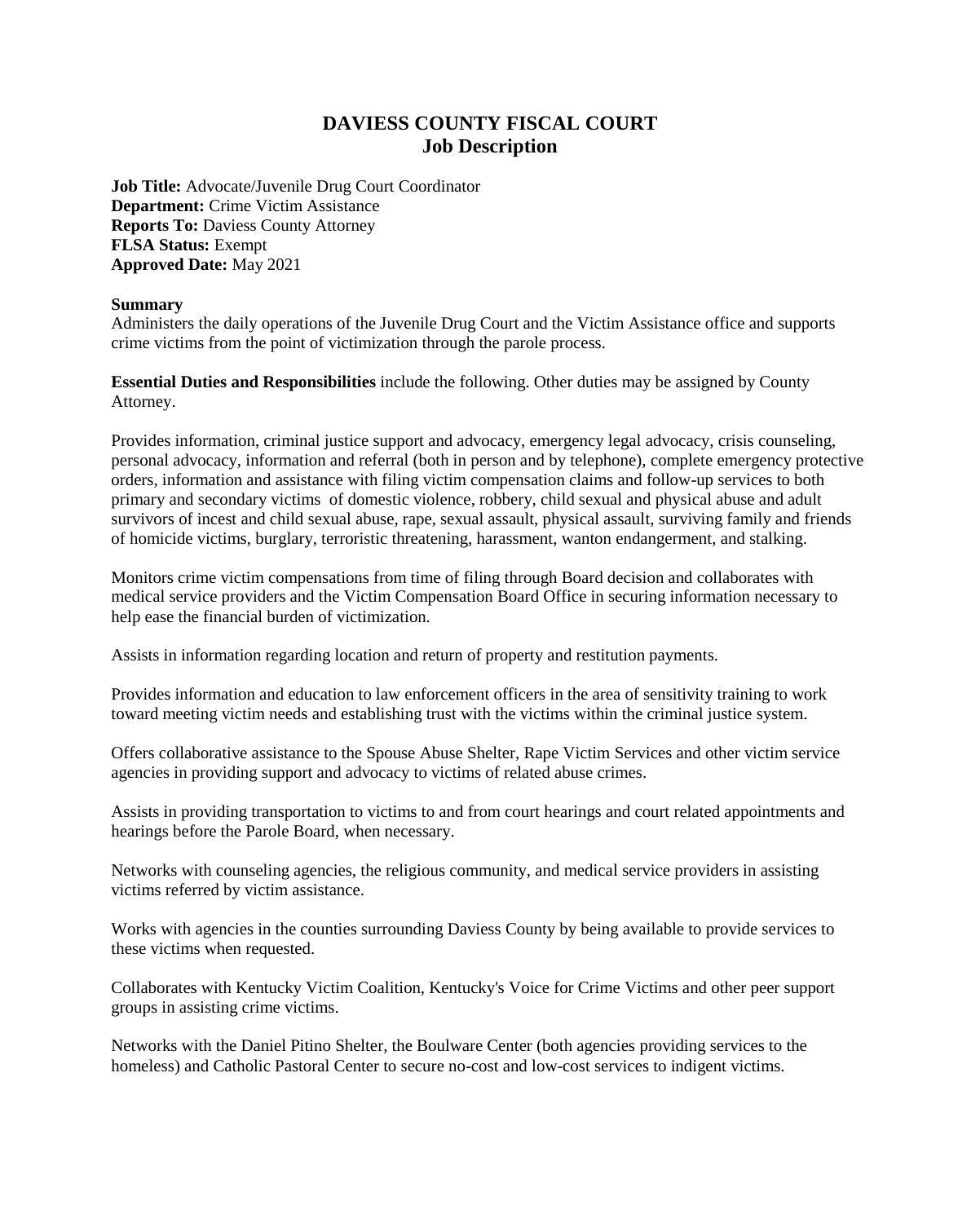# **DAVIESS COUNTY FISCAL COURT Job Description**

**Job Title:** Advocate/Juvenile Drug Court Coordinator **Department:** Crime Victim Assistance **Reports To: Daviess County Attorney FLSA Status:** Exempt **Approved Date:** May 2021

## **Summary**

Administers the daily operations of the Juvenile Drug Court and the Victim Assistance office and supports crime victims from the point of victimization through the parole process.

**Essential Duties and Responsibilities** include the following. Other duties may be assigned by County Attorney.

Provides information, criminal justice support and advocacy, emergency legal advocacy, crisis counseling, personal advocacy, information and referral (both in person and by telephone), complete emergency protective orders, information and assistance with filing victim compensation claims and follow-up services to both primary and secondary victims of domestic violence, robbery, child sexual and physical abuse and adult survivors of incest and child sexual abuse, rape, sexual assault, physical assault, surviving family and friends of homicide victims, burglary, terroristic threatening, harassment, wanton endangerment, and stalking.

Monitors crime victim compensations from time of filing through Board decision and collaborates with medical service providers and the Victim Compensation Board Office in securing information necessary to help ease the financial burden of victimization.

Assists in information regarding location and return of property and restitution payments.

Provides information and education to law enforcement officers in the area of sensitivity training to work toward meeting victim needs and establishing trust with the victims within the criminal justice system.

Offers collaborative assistance to the Spouse Abuse Shelter, Rape Victim Services and other victim service agencies in providing support and advocacy to victims of related abuse crimes.

Assists in providing transportation to victims to and from court hearings and court related appointments and hearings before the Parole Board, when necessary.

Networks with counseling agencies, the religious community, and medical service providers in assisting victims referred by victim assistance.

Works with agencies in the counties surrounding Daviess County by being available to provide services to these victims when requested.

Collaborates with Kentucky Victim Coalition, Kentucky's Voice for Crime Victims and other peer support groups in assisting crime victims.

Networks with the Daniel Pitino Shelter, the Boulware Center (both agencies providing services to the homeless) and Catholic Pastoral Center to secure no-cost and low-cost services to indigent victims.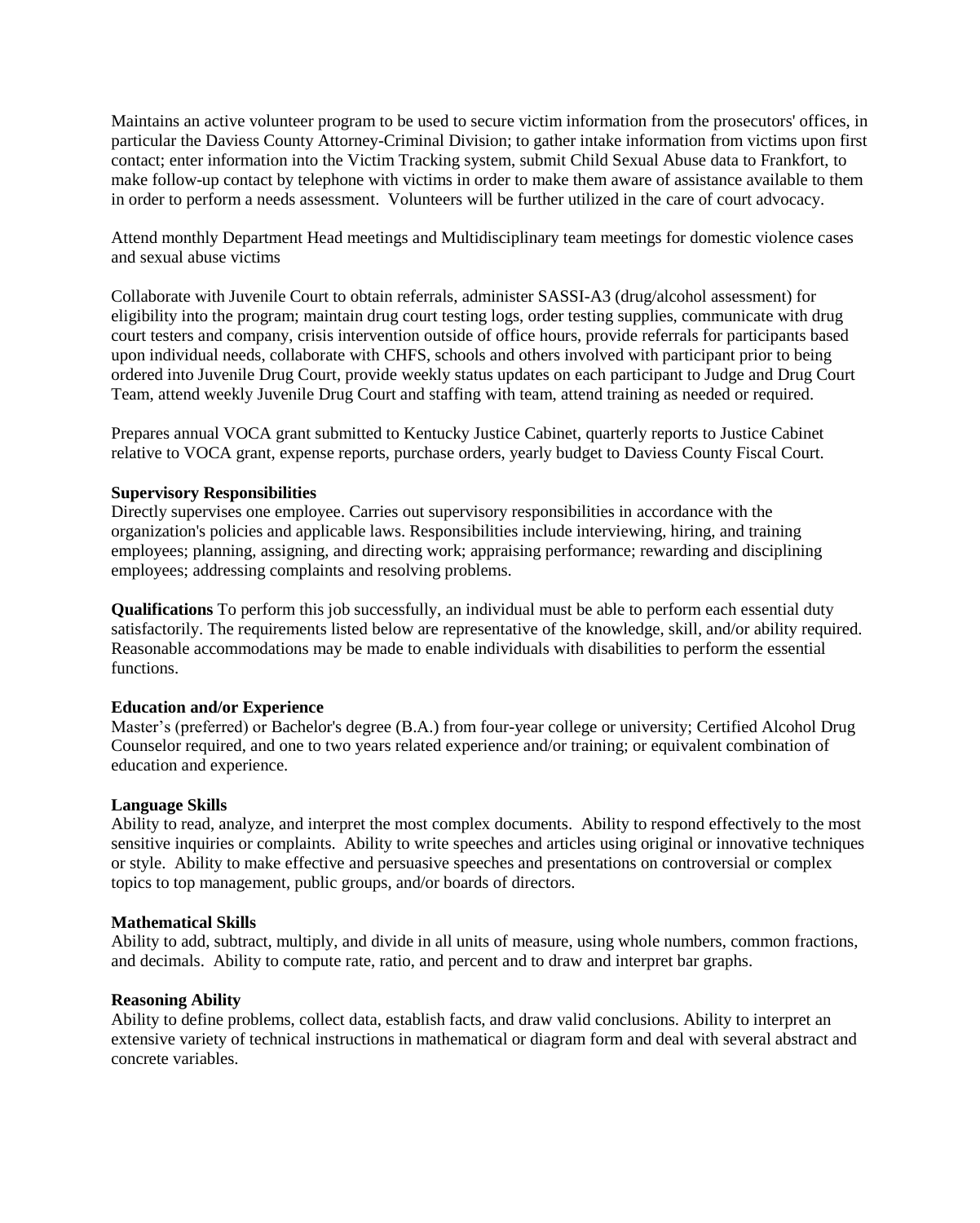Maintains an active volunteer program to be used to secure victim information from the prosecutors' offices, in particular the Daviess County Attorney-Criminal Division; to gather intake information from victims upon first contact; enter information into the Victim Tracking system, submit Child Sexual Abuse data to Frankfort, to make follow-up contact by telephone with victims in order to make them aware of assistance available to them in order to perform a needs assessment. Volunteers will be further utilized in the care of court advocacy.

Attend monthly Department Head meetings and Multidisciplinary team meetings for domestic violence cases and sexual abuse victims

Collaborate with Juvenile Court to obtain referrals, administer SASSI-A3 (drug/alcohol assessment) for eligibility into the program; maintain drug court testing logs, order testing supplies, communicate with drug court testers and company, crisis intervention outside of office hours, provide referrals for participants based upon individual needs, collaborate with CHFS, schools and others involved with participant prior to being ordered into Juvenile Drug Court, provide weekly status updates on each participant to Judge and Drug Court Team, attend weekly Juvenile Drug Court and staffing with team, attend training as needed or required.

Prepares annual VOCA grant submitted to Kentucky Justice Cabinet, quarterly reports to Justice Cabinet relative to VOCA grant, expense reports, purchase orders, yearly budget to Daviess County Fiscal Court.

### **Supervisory Responsibilities**

Directly supervises one employee. Carries out supervisory responsibilities in accordance with the organization's policies and applicable laws. Responsibilities include interviewing, hiring, and training employees; planning, assigning, and directing work; appraising performance; rewarding and disciplining employees; addressing complaints and resolving problems.

**Qualifications** To perform this job successfully, an individual must be able to perform each essential duty satisfactorily. The requirements listed below are representative of the knowledge, skill, and/or ability required. Reasonable accommodations may be made to enable individuals with disabilities to perform the essential functions.

#### **Education and/or Experience**

Master's (preferred) or Bachelor's degree (B.A.) from four-year college or university; Certified Alcohol Drug Counselor required, and one to two years related experience and/or training; or equivalent combination of education and experience.

#### **Language Skills**

Ability to read, analyze, and interpret the most complex documents. Ability to respond effectively to the most sensitive inquiries or complaints. Ability to write speeches and articles using original or innovative techniques or style. Ability to make effective and persuasive speeches and presentations on controversial or complex topics to top management, public groups, and/or boards of directors.

#### **Mathematical Skills**

Ability to add, subtract, multiply, and divide in all units of measure, using whole numbers, common fractions, and decimals. Ability to compute rate, ratio, and percent and to draw and interpret bar graphs.

#### **Reasoning Ability**

Ability to define problems, collect data, establish facts, and draw valid conclusions. Ability to interpret an extensive variety of technical instructions in mathematical or diagram form and deal with several abstract and concrete variables.